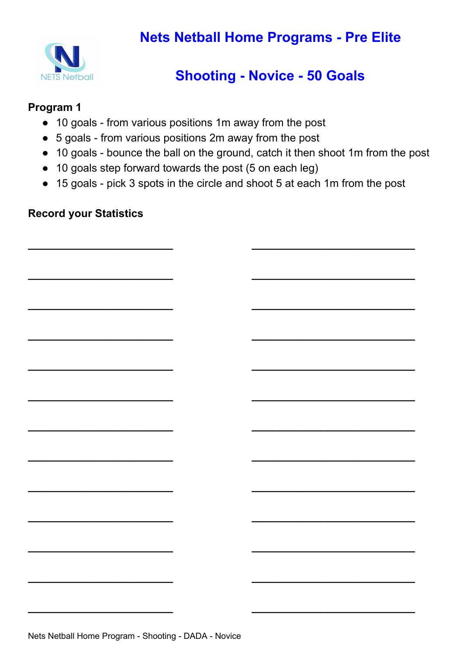

## **Shooting - Novice - 50 Goals**

#### **Program 1**

- 10 goals from various positions 1m away from the post
- 5 goals from various positions 2m away from the post
- 10 goals bounce the ball on the ground, catch it then shoot 1m from the post
- 10 goals step forward towards the post (5 on each leg)
- 15 goals pick 3 spots in the circle and shoot 5 at each 1m from the post

**\_\_\_\_\_\_\_\_\_\_\_\_\_\_\_\_\_\_\_\_\_\_\_\_ \_\_\_\_\_\_\_\_\_\_\_\_\_\_\_\_\_\_\_\_\_\_\_\_\_\_\_**

**\_\_\_\_\_\_\_\_\_\_\_\_\_\_\_\_\_\_\_\_\_\_\_\_ \_\_\_\_\_\_\_\_\_\_\_\_\_\_\_\_\_\_\_\_\_\_\_\_\_\_\_**

**\_\_\_\_\_\_\_\_\_\_\_\_\_\_\_\_\_\_\_\_\_\_\_\_ \_\_\_\_\_\_\_\_\_\_\_\_\_\_\_\_\_\_\_\_\_\_\_\_\_\_\_**

**\_\_\_\_\_\_\_\_\_\_\_\_\_\_\_\_\_\_\_\_\_\_\_\_ \_\_\_\_\_\_\_\_\_\_\_\_\_\_\_\_\_\_\_\_\_\_\_\_\_\_\_**

**\_\_\_\_\_\_\_\_\_\_\_\_\_\_\_\_\_\_\_\_\_\_\_\_ \_\_\_\_\_\_\_\_\_\_\_\_\_\_\_\_\_\_\_\_\_\_\_\_\_\_\_**

**\_\_\_\_\_\_\_\_\_\_\_\_\_\_\_\_\_\_\_\_\_\_\_\_ \_\_\_\_\_\_\_\_\_\_\_\_\_\_\_\_\_\_\_\_\_\_\_\_\_\_\_**

**\_\_\_\_\_\_\_\_\_\_\_\_\_\_\_\_\_\_\_\_\_\_\_\_ \_\_\_\_\_\_\_\_\_\_\_\_\_\_\_\_\_\_\_\_\_\_\_\_\_\_\_**

**\_\_\_\_\_\_\_\_\_\_\_\_\_\_\_\_\_\_\_\_\_\_\_\_ \_\_\_\_\_\_\_\_\_\_\_\_\_\_\_\_\_\_\_\_\_\_\_\_\_\_\_**

**\_\_\_\_\_\_\_\_\_\_\_\_\_\_\_\_\_\_\_\_\_\_\_\_ \_\_\_\_\_\_\_\_\_\_\_\_\_\_\_\_\_\_\_\_\_\_\_\_\_\_\_**

**\_\_\_\_\_\_\_\_\_\_\_\_\_\_\_\_\_\_\_\_\_\_\_\_ \_\_\_\_\_\_\_\_\_\_\_\_\_\_\_\_\_\_\_\_\_\_\_\_\_\_\_**

**\_\_\_\_\_\_\_\_\_\_\_\_\_\_\_\_\_\_\_\_\_\_\_\_ \_\_\_\_\_\_\_\_\_\_\_\_\_\_\_\_\_\_\_\_\_\_\_\_\_\_\_**

**\_\_\_\_\_\_\_\_\_\_\_\_\_\_\_\_\_\_\_\_\_\_\_\_ \_\_\_\_\_\_\_\_\_\_\_\_\_\_\_\_\_\_\_\_\_\_\_\_\_\_\_**

**\_\_\_\_\_\_\_\_\_\_\_\_\_\_\_\_\_\_\_\_\_\_\_\_ \_\_\_\_\_\_\_\_\_\_\_\_\_\_\_\_\_\_\_\_\_\_\_\_\_\_\_**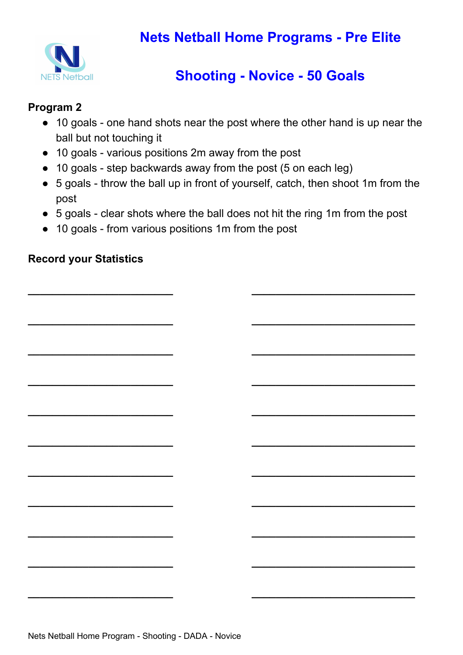

# **Shooting - Novice - 50 Goals**

### **Program 2**

- 10 goals one hand shots near the post where the other hand is up near the ball but not touching it
- 10 goals various positions 2m away from the post
- 10 goals step backwards away from the post (5 on each leg)
- 5 goals throw the ball up in front of yourself, catch, then shoot 1m from the post
- 5 goals clear shots where the ball does not hit the ring 1m from the post

**\_\_\_\_\_\_\_\_\_\_\_\_\_\_\_\_\_\_\_\_\_\_\_\_ \_\_\_\_\_\_\_\_\_\_\_\_\_\_\_\_\_\_\_\_\_\_\_\_\_\_\_**

**\_\_\_\_\_\_\_\_\_\_\_\_\_\_\_\_\_\_\_\_\_\_\_\_ \_\_\_\_\_\_\_\_\_\_\_\_\_\_\_\_\_\_\_\_\_\_\_\_\_\_\_**

**\_\_\_\_\_\_\_\_\_\_\_\_\_\_\_\_\_\_\_\_\_\_\_\_ \_\_\_\_\_\_\_\_\_\_\_\_\_\_\_\_\_\_\_\_\_\_\_\_\_\_\_**

**\_\_\_\_\_\_\_\_\_\_\_\_\_\_\_\_\_\_\_\_\_\_\_\_ \_\_\_\_\_\_\_\_\_\_\_\_\_\_\_\_\_\_\_\_\_\_\_\_\_\_\_**

**\_\_\_\_\_\_\_\_\_\_\_\_\_\_\_\_\_\_\_\_\_\_\_\_ \_\_\_\_\_\_\_\_\_\_\_\_\_\_\_\_\_\_\_\_\_\_\_\_\_\_\_**

**\_\_\_\_\_\_\_\_\_\_\_\_\_\_\_\_\_\_\_\_\_\_\_\_ \_\_\_\_\_\_\_\_\_\_\_\_\_\_\_\_\_\_\_\_\_\_\_\_\_\_\_**

**\_\_\_\_\_\_\_\_\_\_\_\_\_\_\_\_\_\_\_\_\_\_\_\_ \_\_\_\_\_\_\_\_\_\_\_\_\_\_\_\_\_\_\_\_\_\_\_\_\_\_\_**

**\_\_\_\_\_\_\_\_\_\_\_\_\_\_\_\_\_\_\_\_\_\_\_\_ \_\_\_\_\_\_\_\_\_\_\_\_\_\_\_\_\_\_\_\_\_\_\_\_\_\_\_**

**\_\_\_\_\_\_\_\_\_\_\_\_\_\_\_\_\_\_\_\_\_\_\_\_ \_\_\_\_\_\_\_\_\_\_\_\_\_\_\_\_\_\_\_\_\_\_\_\_\_\_\_**

**\_\_\_\_\_\_\_\_\_\_\_\_\_\_\_\_\_\_\_\_\_\_\_\_ \_\_\_\_\_\_\_\_\_\_\_\_\_\_\_\_\_\_\_\_\_\_\_\_\_\_\_**

**\_\_\_\_\_\_\_\_\_\_\_\_\_\_\_\_\_\_\_\_\_\_\_\_ \_\_\_\_\_\_\_\_\_\_\_\_\_\_\_\_\_\_\_\_\_\_\_\_\_\_\_**

● 10 goals - from various positions 1m from the post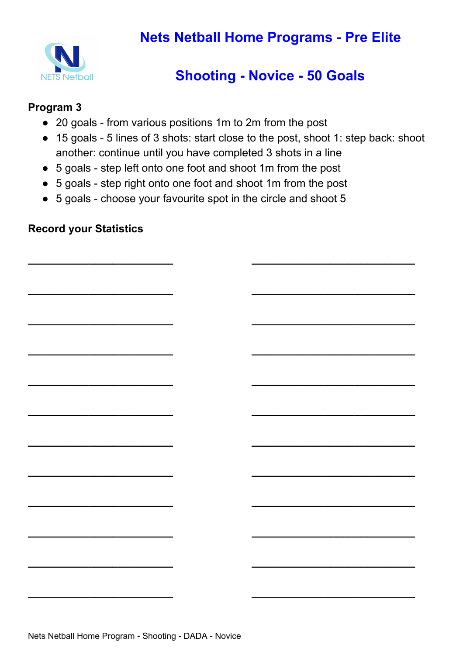

## **Shooting - Novice - 50 Goals**

#### **Program 3**

- 20 goals from various positions 1m to 2m from the post
- 15 goals 5 lines of 3 shots: start close to the post, shoot 1: step back: shoot another: continue until you have completed 3 shots in a line

**\_\_\_\_\_\_\_\_\_\_\_\_\_\_\_\_\_\_\_\_\_\_\_\_ \_\_\_\_\_\_\_\_\_\_\_\_\_\_\_\_\_\_\_\_\_\_\_\_\_\_\_**

**\_\_\_\_\_\_\_\_\_\_\_\_\_\_\_\_\_\_\_\_\_\_\_\_ \_\_\_\_\_\_\_\_\_\_\_\_\_\_\_\_\_\_\_\_\_\_\_\_\_\_\_**

**\_\_\_\_\_\_\_\_\_\_\_\_\_\_\_\_\_\_\_\_\_\_\_\_ \_\_\_\_\_\_\_\_\_\_\_\_\_\_\_\_\_\_\_\_\_\_\_\_\_\_\_**

**\_\_\_\_\_\_\_\_\_\_\_\_\_\_\_\_\_\_\_\_\_\_\_\_ \_\_\_\_\_\_\_\_\_\_\_\_\_\_\_\_\_\_\_\_\_\_\_\_\_\_\_**

**\_\_\_\_\_\_\_\_\_\_\_\_\_\_\_\_\_\_\_\_\_\_\_\_ \_\_\_\_\_\_\_\_\_\_\_\_\_\_\_\_\_\_\_\_\_\_\_\_\_\_\_**

**\_\_\_\_\_\_\_\_\_\_\_\_\_\_\_\_\_\_\_\_\_\_\_\_ \_\_\_\_\_\_\_\_\_\_\_\_\_\_\_\_\_\_\_\_\_\_\_\_\_\_\_**

**\_\_\_\_\_\_\_\_\_\_\_\_\_\_\_\_\_\_\_\_\_\_\_\_ \_\_\_\_\_\_\_\_\_\_\_\_\_\_\_\_\_\_\_\_\_\_\_\_\_\_\_**

**\_\_\_\_\_\_\_\_\_\_\_\_\_\_\_\_\_\_\_\_\_\_\_\_ \_\_\_\_\_\_\_\_\_\_\_\_\_\_\_\_\_\_\_\_\_\_\_\_\_\_\_**

**\_\_\_\_\_\_\_\_\_\_\_\_\_\_\_\_\_\_\_\_\_\_\_\_ \_\_\_\_\_\_\_\_\_\_\_\_\_\_\_\_\_\_\_\_\_\_\_\_\_\_\_**

**\_\_\_\_\_\_\_\_\_\_\_\_\_\_\_\_\_\_\_\_\_\_\_\_ \_\_\_\_\_\_\_\_\_\_\_\_\_\_\_\_\_\_\_\_\_\_\_\_\_\_\_**

**\_\_\_\_\_\_\_\_\_\_\_\_\_\_\_\_\_\_\_\_\_\_\_\_ \_\_\_\_\_\_\_\_\_\_\_\_\_\_\_\_\_\_\_\_\_\_\_\_\_\_\_**

**\_\_\_\_\_\_\_\_\_\_\_\_\_\_\_\_\_\_\_\_\_\_\_\_ \_\_\_\_\_\_\_\_\_\_\_\_\_\_\_\_\_\_\_\_\_\_\_\_\_\_\_**

- 5 goals step left onto one foot and shoot 1m from the post
- 5 goals step right onto one foot and shoot 1m from the post
- 5 goals choose your favourite spot in the circle and shoot 5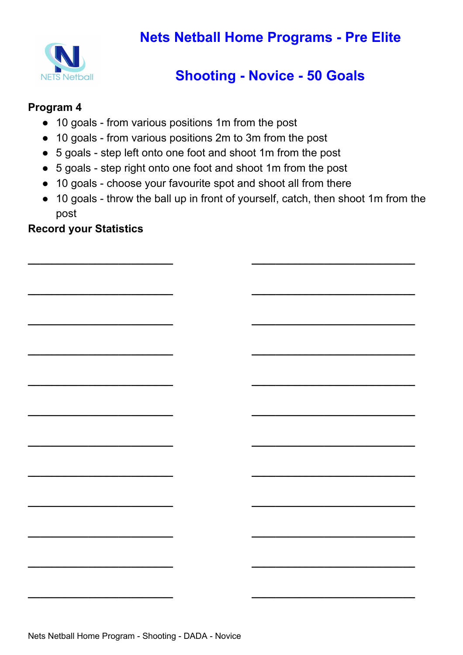

## **Shooting - Novice - 50 Goals**

#### **Program 4**

- 10 goals from various positions 1m from the post
- 10 goals from various positions 2m to 3m from the post
- 5 goals step left onto one foot and shoot 1m from the post
- 5 goals step right onto one foot and shoot 1m from the post
- 10 goals choose your favourite spot and shoot all from there
- 10 goals throw the ball up in front of yourself, catch, then shoot 1m from the post

**\_\_\_\_\_\_\_\_\_\_\_\_\_\_\_\_\_\_\_\_\_\_\_\_ \_\_\_\_\_\_\_\_\_\_\_\_\_\_\_\_\_\_\_\_\_\_\_\_\_\_\_**

**\_\_\_\_\_\_\_\_\_\_\_\_\_\_\_\_\_\_\_\_\_\_\_\_ \_\_\_\_\_\_\_\_\_\_\_\_\_\_\_\_\_\_\_\_\_\_\_\_\_\_\_**

**\_\_\_\_\_\_\_\_\_\_\_\_\_\_\_\_\_\_\_\_\_\_\_\_ \_\_\_\_\_\_\_\_\_\_\_\_\_\_\_\_\_\_\_\_\_\_\_\_\_\_\_**

**\_\_\_\_\_\_\_\_\_\_\_\_\_\_\_\_\_\_\_\_\_\_\_\_ \_\_\_\_\_\_\_\_\_\_\_\_\_\_\_\_\_\_\_\_\_\_\_\_\_\_\_**

**\_\_\_\_\_\_\_\_\_\_\_\_\_\_\_\_\_\_\_\_\_\_\_\_ \_\_\_\_\_\_\_\_\_\_\_\_\_\_\_\_\_\_\_\_\_\_\_\_\_\_\_**

**\_\_\_\_\_\_\_\_\_\_\_\_\_\_\_\_\_\_\_\_\_\_\_\_ \_\_\_\_\_\_\_\_\_\_\_\_\_\_\_\_\_\_\_\_\_\_\_\_\_\_\_**

**\_\_\_\_\_\_\_\_\_\_\_\_\_\_\_\_\_\_\_\_\_\_\_\_ \_\_\_\_\_\_\_\_\_\_\_\_\_\_\_\_\_\_\_\_\_\_\_\_\_\_\_**

**\_\_\_\_\_\_\_\_\_\_\_\_\_\_\_\_\_\_\_\_\_\_\_\_ \_\_\_\_\_\_\_\_\_\_\_\_\_\_\_\_\_\_\_\_\_\_\_\_\_\_\_**

**\_\_\_\_\_\_\_\_\_\_\_\_\_\_\_\_\_\_\_\_\_\_\_\_ \_\_\_\_\_\_\_\_\_\_\_\_\_\_\_\_\_\_\_\_\_\_\_\_\_\_\_**

**\_\_\_\_\_\_\_\_\_\_\_\_\_\_\_\_\_\_\_\_\_\_\_\_ \_\_\_\_\_\_\_\_\_\_\_\_\_\_\_\_\_\_\_\_\_\_\_\_\_\_\_**

**\_\_\_\_\_\_\_\_\_\_\_\_\_\_\_\_\_\_\_\_\_\_\_\_ \_\_\_\_\_\_\_\_\_\_\_\_\_\_\_\_\_\_\_\_\_\_\_\_\_\_\_**

**\_\_\_\_\_\_\_\_\_\_\_\_\_\_\_\_\_\_\_\_\_\_\_\_ \_\_\_\_\_\_\_\_\_\_\_\_\_\_\_\_\_\_\_\_\_\_\_\_\_\_\_**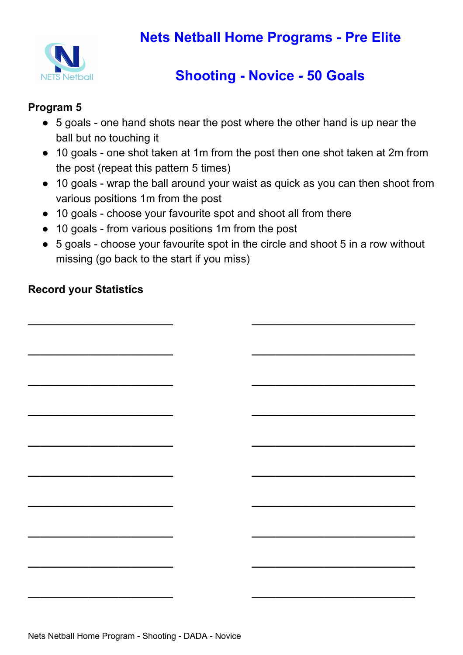

# **Shooting - Novice - 50 Goals**

### **Program 5**

- 5 goals one hand shots near the post where the other hand is up near the ball but no touching it
- 10 goals one shot taken at 1m from the post then one shot taken at 2m from the post (repeat this pattern 5 times)
- 10 goals wrap the ball around your waist as quick as you can then shoot from various positions 1m from the post
- 10 goals choose your favourite spot and shoot all from there
- 10 goals from various positions 1m from the post
- 5 goals choose your favourite spot in the circle and shoot 5 in a row without missing (go back to the start if you miss)

**\_\_\_\_\_\_\_\_\_\_\_\_\_\_\_\_\_\_\_\_\_\_\_\_ \_\_\_\_\_\_\_\_\_\_\_\_\_\_\_\_\_\_\_\_\_\_\_\_\_\_\_**

**\_\_\_\_\_\_\_\_\_\_\_\_\_\_\_\_\_\_\_\_\_\_\_\_ \_\_\_\_\_\_\_\_\_\_\_\_\_\_\_\_\_\_\_\_\_\_\_\_\_\_\_**

**\_\_\_\_\_\_\_\_\_\_\_\_\_\_\_\_\_\_\_\_\_\_\_\_ \_\_\_\_\_\_\_\_\_\_\_\_\_\_\_\_\_\_\_\_\_\_\_\_\_\_\_**

**\_\_\_\_\_\_\_\_\_\_\_\_\_\_\_\_\_\_\_\_\_\_\_\_ \_\_\_\_\_\_\_\_\_\_\_\_\_\_\_\_\_\_\_\_\_\_\_\_\_\_\_**

**\_\_\_\_\_\_\_\_\_\_\_\_\_\_\_\_\_\_\_\_\_\_\_\_ \_\_\_\_\_\_\_\_\_\_\_\_\_\_\_\_\_\_\_\_\_\_\_\_\_\_\_**

**\_\_\_\_\_\_\_\_\_\_\_\_\_\_\_\_\_\_\_\_\_\_\_\_ \_\_\_\_\_\_\_\_\_\_\_\_\_\_\_\_\_\_\_\_\_\_\_\_\_\_\_**

**\_\_\_\_\_\_\_\_\_\_\_\_\_\_\_\_\_\_\_\_\_\_\_\_ \_\_\_\_\_\_\_\_\_\_\_\_\_\_\_\_\_\_\_\_\_\_\_\_\_\_\_**

**\_\_\_\_\_\_\_\_\_\_\_\_\_\_\_\_\_\_\_\_\_\_\_\_ \_\_\_\_\_\_\_\_\_\_\_\_\_\_\_\_\_\_\_\_\_\_\_\_\_\_\_**

**\_\_\_\_\_\_\_\_\_\_\_\_\_\_\_\_\_\_\_\_\_\_\_\_ \_\_\_\_\_\_\_\_\_\_\_\_\_\_\_\_\_\_\_\_\_\_\_\_\_\_\_**

**\_\_\_\_\_\_\_\_\_\_\_\_\_\_\_\_\_\_\_\_\_\_\_\_ \_\_\_\_\_\_\_\_\_\_\_\_\_\_\_\_\_\_\_\_\_\_\_\_\_\_\_**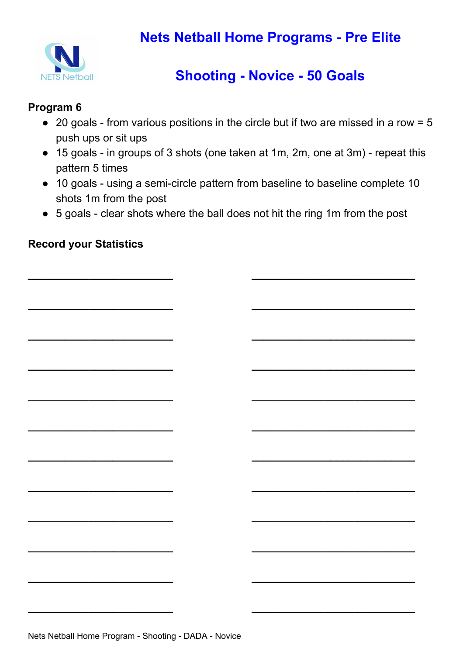

# **Shooting - Novice - 50 Goals**

### **Program 6**

- $\bullet$  20 goals from various positions in the circle but if two are missed in a row = 5 push ups or sit ups
- 15 goals in groups of 3 shots (one taken at 1m, 2m, one at 3m) repeat this pattern 5 times
- 10 goals using a semi-circle pattern from baseline to baseline complete 10 shots 1m from the post
- 5 goals clear shots where the ball does not hit the ring 1m from the post

**\_\_\_\_\_\_\_\_\_\_\_\_\_\_\_\_\_\_\_\_\_\_\_\_ \_\_\_\_\_\_\_\_\_\_\_\_\_\_\_\_\_\_\_\_\_\_\_\_\_\_\_**

**\_\_\_\_\_\_\_\_\_\_\_\_\_\_\_\_\_\_\_\_\_\_\_\_ \_\_\_\_\_\_\_\_\_\_\_\_\_\_\_\_\_\_\_\_\_\_\_\_\_\_\_**

**\_\_\_\_\_\_\_\_\_\_\_\_\_\_\_\_\_\_\_\_\_\_\_\_ \_\_\_\_\_\_\_\_\_\_\_\_\_\_\_\_\_\_\_\_\_\_\_\_\_\_\_**

**\_\_\_\_\_\_\_\_\_\_\_\_\_\_\_\_\_\_\_\_\_\_\_\_ \_\_\_\_\_\_\_\_\_\_\_\_\_\_\_\_\_\_\_\_\_\_\_\_\_\_\_**

**\_\_\_\_\_\_\_\_\_\_\_\_\_\_\_\_\_\_\_\_\_\_\_\_ \_\_\_\_\_\_\_\_\_\_\_\_\_\_\_\_\_\_\_\_\_\_\_\_\_\_\_**

**\_\_\_\_\_\_\_\_\_\_\_\_\_\_\_\_\_\_\_\_\_\_\_\_ \_\_\_\_\_\_\_\_\_\_\_\_\_\_\_\_\_\_\_\_\_\_\_\_\_\_\_**

**\_\_\_\_\_\_\_\_\_\_\_\_\_\_\_\_\_\_\_\_\_\_\_\_ \_\_\_\_\_\_\_\_\_\_\_\_\_\_\_\_\_\_\_\_\_\_\_\_\_\_\_**

**\_\_\_\_\_\_\_\_\_\_\_\_\_\_\_\_\_\_\_\_\_\_\_\_ \_\_\_\_\_\_\_\_\_\_\_\_\_\_\_\_\_\_\_\_\_\_\_\_\_\_\_**

**\_\_\_\_\_\_\_\_\_\_\_\_\_\_\_\_\_\_\_\_\_\_\_\_ \_\_\_\_\_\_\_\_\_\_\_\_\_\_\_\_\_\_\_\_\_\_\_\_\_\_\_**

**\_\_\_\_\_\_\_\_\_\_\_\_\_\_\_\_\_\_\_\_\_\_\_\_ \_\_\_\_\_\_\_\_\_\_\_\_\_\_\_\_\_\_\_\_\_\_\_\_\_\_\_**

**\_\_\_\_\_\_\_\_\_\_\_\_\_\_\_\_\_\_\_\_\_\_\_\_ \_\_\_\_\_\_\_\_\_\_\_\_\_\_\_\_\_\_\_\_\_\_\_\_\_\_\_**

**\_\_\_\_\_\_\_\_\_\_\_\_\_\_\_\_\_\_\_\_\_\_\_\_ \_\_\_\_\_\_\_\_\_\_\_\_\_\_\_\_\_\_\_\_\_\_\_\_\_\_\_**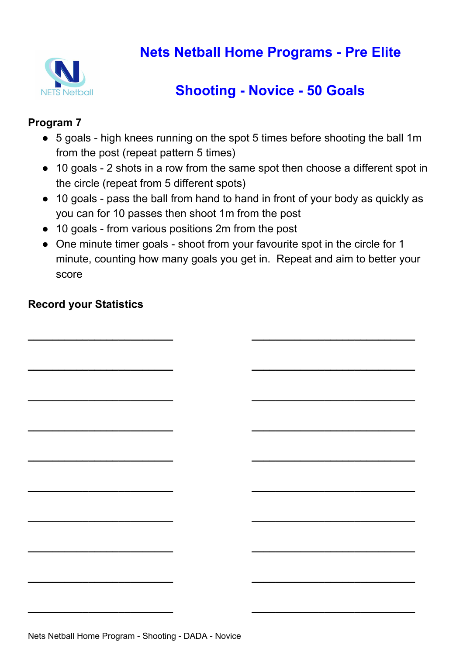

# **Shooting - Novice - 50 Goals**

#### **Program 7**

- 5 goals high knees running on the spot 5 times before shooting the ball 1m from the post (repeat pattern 5 times)
- 10 goals 2 shots in a row from the same spot then choose a different spot in the circle (repeat from 5 different spots)
- 10 goals pass the ball from hand to hand in front of your body as quickly as you can for 10 passes then shoot 1m from the post
- 10 goals from various positions 2m from the post
- One minute timer goals shoot from your favourite spot in the circle for 1 minute, counting how many goals you get in. Repeat and aim to better your score

**\_\_\_\_\_\_\_\_\_\_\_\_\_\_\_\_\_\_\_\_\_\_\_\_ \_\_\_\_\_\_\_\_\_\_\_\_\_\_\_\_\_\_\_\_\_\_\_\_\_\_\_**

**\_\_\_\_\_\_\_\_\_\_\_\_\_\_\_\_\_\_\_\_\_\_\_\_ \_\_\_\_\_\_\_\_\_\_\_\_\_\_\_\_\_\_\_\_\_\_\_\_\_\_\_**

**\_\_\_\_\_\_\_\_\_\_\_\_\_\_\_\_\_\_\_\_\_\_\_\_ \_\_\_\_\_\_\_\_\_\_\_\_\_\_\_\_\_\_\_\_\_\_\_\_\_\_\_**

**\_\_\_\_\_\_\_\_\_\_\_\_\_\_\_\_\_\_\_\_\_\_\_\_ \_\_\_\_\_\_\_\_\_\_\_\_\_\_\_\_\_\_\_\_\_\_\_\_\_\_\_**

**\_\_\_\_\_\_\_\_\_\_\_\_\_\_\_\_\_\_\_\_\_\_\_\_ \_\_\_\_\_\_\_\_\_\_\_\_\_\_\_\_\_\_\_\_\_\_\_\_\_\_\_**

**\_\_\_\_\_\_\_\_\_\_\_\_\_\_\_\_\_\_\_\_\_\_\_\_ \_\_\_\_\_\_\_\_\_\_\_\_\_\_\_\_\_\_\_\_\_\_\_\_\_\_\_**

**\_\_\_\_\_\_\_\_\_\_\_\_\_\_\_\_\_\_\_\_\_\_\_\_ \_\_\_\_\_\_\_\_\_\_\_\_\_\_\_\_\_\_\_\_\_\_\_\_\_\_\_**

**\_\_\_\_\_\_\_\_\_\_\_\_\_\_\_\_\_\_\_\_\_\_\_\_ \_\_\_\_\_\_\_\_\_\_\_\_\_\_\_\_\_\_\_\_\_\_\_\_\_\_\_**

**\_\_\_\_\_\_\_\_\_\_\_\_\_\_\_\_\_\_\_\_\_\_\_\_ \_\_\_\_\_\_\_\_\_\_\_\_\_\_\_\_\_\_\_\_\_\_\_\_\_\_\_**

**\_\_\_\_\_\_\_\_\_\_\_\_\_\_\_\_\_\_\_\_\_\_\_\_ \_\_\_\_\_\_\_\_\_\_\_\_\_\_\_\_\_\_\_\_\_\_\_\_\_\_\_**